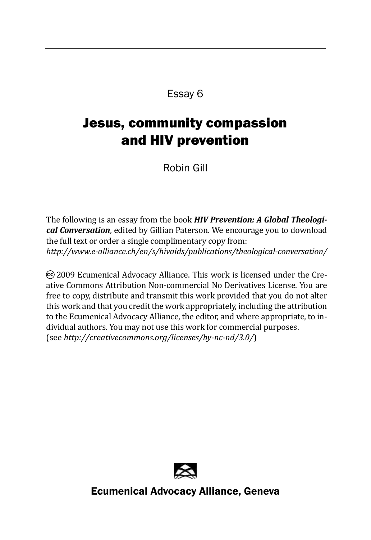Essay 6

## Jesus, community compassion and HIV prevention

Robin Gill

The following is an essay from the book *HIV Prevention: A Global Theological Conversation*, edited by Gillian Paterson. We encourage you to download the full text or order a single complimentary copy from: *http://www.e-alliance.ch/en/s/hivaids/publications/theological-conversation/*

cc) 2009 Ecumenical Advocacy Alliance. This work is licensed under the Creative Commons Attribution Non-commercial No Derivatives License. You are free to copy, distribute and transmit this work provided that you do not alter this work and that you credit the work appropriately, including the attribution to the Ecumenical Advocacy Alliance, the editor, and where appropriate, to individual authors. You may not use this work for commercial purposes. (see *http://creativecommons.org/licenses/by-nc-nd/3.0/*)



Ecumenical Advocacy Alliance, Geneva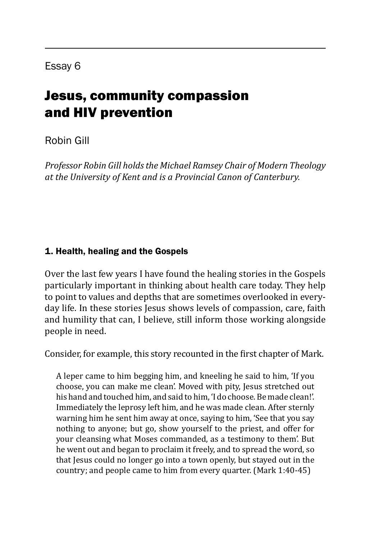# Jesus, community compassion and HIV prevention

## Robin Gill

*Professor Robin Gill holds the Michael Ramsey Chair of Modern Theology at the University of Kent and is a Provincial Canon of Canterbury.*

### 1. Health, healing and the Gospels

Over the last few years I have found the healing stories in the Gospels particularly important in thinking about health care today. They help to point to values and depths that are sometimes overlooked in everyday life. In these stories Jesus shows levels of compassion, care, faith and humility that can, I believe, still inform those working alongside people in need.

Consider, for example, this story recounted in the first chapter of Mark.

A leper came to him begging him, and kneeling he said to him, 'If you choose, you can make me clean'. Moved with pity, Jesus stretched out his hand and touched him, and said to him, 'I do choose. Be made clean!'. Immediately the leprosy left him, and he was made clean. After sternly warning him he sent him away at once, saying to him, 'See that you say nothing to anyone; but go, show yourself to the priest, and offer for your cleansing what Moses commanded, as a testimony to them'. But he went out and began to proclaim it freely, and to spread the word, so that Jesus could no longer go into a town openly, but stayed out in the country; and people came to him from every quarter. (Mark 1:40-45)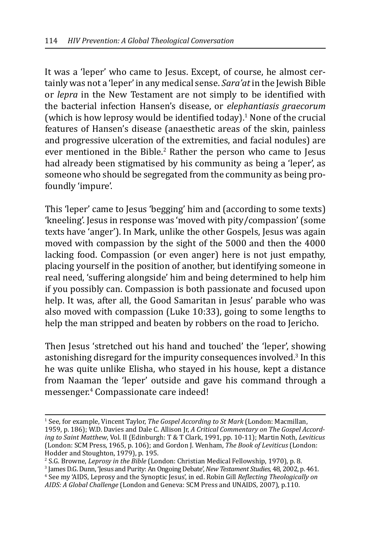It was a 'leper' who came to Jesus. Except, of course, he almost certainly was not a 'leper' in any medical sense. *Sara'at* in the Jewish Bible or *lepra* in the New Testament are not simply to be identified with the bacterial infection Hansen's disease, or *elephantiasis graecorum*  (which is how leprosy would be identified today). $\frac{1}{1}$  None of the crucial features of Hansen's disease (anaesthetic areas of the skin, painless and progressive ulceration of the extremities, and facial nodules) are ever mentioned in the Bible.<sup>2</sup> Rather the person who came to Jesus had already been stigmatised by his community as being a 'leper', as someone who should be segregated from the community as being profoundly 'impure'.

This 'leper' came to Jesus 'begging' him and (according to some texts) 'kneeling'. Jesus in response was 'moved with pity/compassion' (some texts have 'anger'). In Mark, unlike the other Gospels, Jesus was again moved with compassion by the sight of the 5000 and then the 4000 lacking food. Compassion (or even anger) here is not just empathy, placing yourself in the position of another, but identifying someone in real need, 'suffering alongside' him and being determined to help him if you possibly can. Compassion is both passionate and focused upon help. It was, after all, the Good Samaritan in Jesus' parable who was also moved with compassion (Luke 10:33), going to some lengths to help the man stripped and beaten by robbers on the road to Jericho.

Then Jesus 'stretched out his hand and touched' the 'leper', showing astonishing disregard for the impurity consequences involved.<sup>3</sup> In this he was quite unlike Elisha, who stayed in his house, kept a distance from Naaman the 'leper' outside and gave his command through a messenger.<sup>4</sup> Compassionate care indeed!

<sup>1</sup> See, for example, Vincent Taylor, *The Gospel According to St Mark* (London: Macmillan, 1959, p. 186); W.D. Davies and Dale C. Allison Jr, *A Critical Commentary on The Gospel According to Saint Matthew*, Vol. II (Edinburgh: T & T Clark, 1991, pp. 10-11); Martin Noth, *Leviticus* (London: SCM Press, 1965, p. 106); and Gordon J. Wenham, *The Book of Leviticus* (London: Hodder and Stoughton, 1979), p. 195.

<sup>&</sup>lt;sup>2</sup> S.G. Browne*, Leprosy in the Bible* (London: Christian Medical Fellowship, 1970), p. 8.<br><sup>3</sup> James D.G. Dunn 'Jesus and Purity<sup>,</sup> An Ongoing Debate' *New Testament Studies*, 48, 2002, n

James D.G. Dunn, 'Jesus and Purity: An Ongoing Debate', *New Testament Studies*, 48, 2002, p. 461.

<sup>4</sup> See my 'AIDS, Leprosy and the Synoptic Jesus', in ed. Robin Gill *Reflecting Theologically on AIDS: A Global Challenge* (London and Geneva: SCM Press and UNAIDS, 2007), p.110.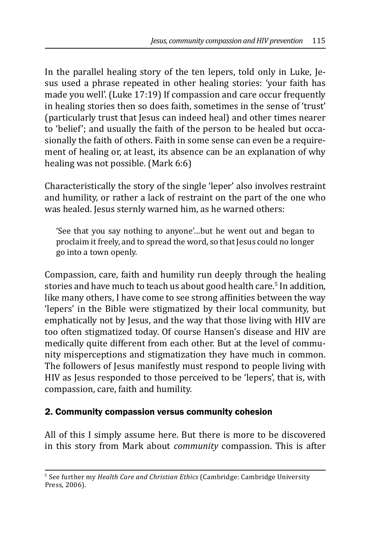In the parallel healing story of the ten lepers, told only in Luke, Jesus used a phrase repeated in other healing stories: 'your faith has made you well'. (Luke 17:19) If compassion and care occur frequently in healing stories then so does faith, sometimes in the sense of 'trust' (particularly trust that Jesus can indeed heal) and other times nearer to 'belief'; and usually the faith of the person to be healed but occasionally the faith of others. Faith in some sense can even be a requirement of healing or, at least, its absence can be an explanation of why healing was not possible. (Mark 6:6)

Characteristically the story of the single 'leper' also involves restraint and humility, or rather a lack of restraint on the part of the one who was healed. Jesus sternly warned him, as he warned others:

'See that you say nothing to anyone'…but he went out and began to proclaim it freely, and to spread the word, so that Jesus could no longer go into a town openly.

Compassion, care, faith and humility run deeply through the healing stories and have much to teach us about good health care.<sup>5</sup> In addition, like many others, I have come to see strong affinities between the way 'lepers' in the Bible were stigmatized by their local community, but emphatically not by Jesus, and the way that those living with HIV are too often stigmatized today. Of course Hansen's disease and HIV are medically quite different from each other. But at the level of community misperceptions and stigmatization they have much in common. The followers of Jesus manifestly must respond to people living with HIV as Jesus responded to those perceived to be 'lepers', that is, with compassion, care, faith and humility.

### 2. Community compassion versus community cohesion

All of this I simply assume here. But there is more to be discovered in this story from Mark about *community* compassion. This is after

<sup>5</sup> See further my *Health Care and Christian Ethics* (Cambridge: Cambridge University Press, 2006).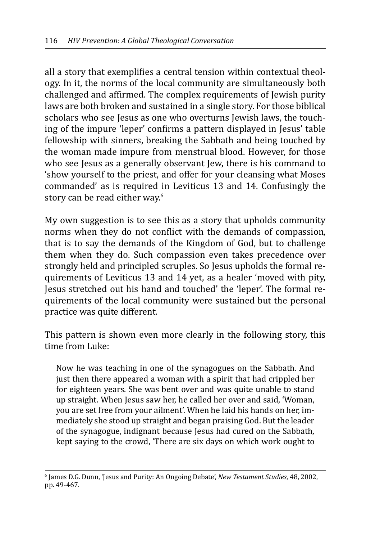all a story that exemplifies a central tension within contextual theology. In it, the norms of the local community are simultaneously both challenged and affirmed. The complex requirements of Jewish purity laws are both broken and sustained in a single story. For those biblical scholars who see Jesus as one who overturns Jewish laws, the touching of the impure 'leper' confirms a pattern displayed in Jesus' table fellowship with sinners, breaking the Sabbath and being touched by the woman made impure from menstrual blood. However, for those who see Jesus as a generally observant Jew, there is his command to 'show yourself to the priest, and offer for your cleansing what Moses commanded' as is required in Leviticus 13 and 14. Confusingly the story can be read either way.<sup>6</sup>

My own suggestion is to see this as a story that upholds community norms when they do not conflict with the demands of compassion, that is to say the demands of the Kingdom of God, but to challenge them when they do. Such compassion even takes precedence over strongly held and principled scruples. So Jesus upholds the formal requirements of Leviticus 13 and 14 yet, as a healer 'moved with pity, Jesus stretched out his hand and touched' the 'leper'. The formal requirements of the local community were sustained but the personal practice was quite different.

This pattern is shown even more clearly in the following story, this time from Luke:

Now he was teaching in one of the synagogues on the Sabbath. And just then there appeared a woman with a spirit that had crippled her for eighteen years. She was bent over and was quite unable to stand up straight. When Jesus saw her, he called her over and said, 'Woman, you are set free from your ailment'. When he laid his hands on her, immediately she stood up straight and began praising God. But the leader of the synagogue, indignant because Jesus had cured on the Sabbath, kept saying to the crowd, 'There are six days on which work ought to

<sup>6</sup> James D.G. Dunn, 'Jesus and Purity: An Ongoing Debate', *New Testament Studies*, 48, 2002, pp. 49-467.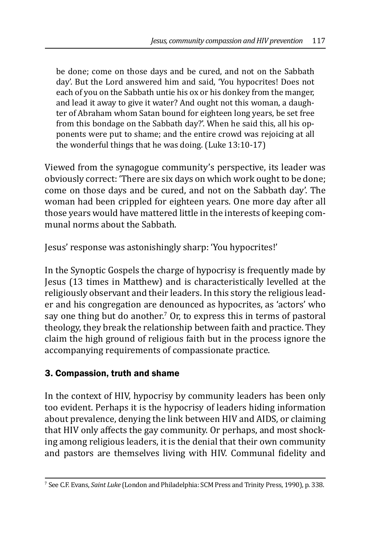be done; come on those days and be cured, and not on the Sabbath day'. But the Lord answered him and said, 'You hypocrites! Does not each of you on the Sabbath untie his ox or his donkey from the manger, and lead it away to give it water? And ought not this woman, a daughter of Abraham whom Satan bound for eighteen long years, be set free from this bondage on the Sabbath day?'. When he said this, all his opponents were put to shame; and the entire crowd was rejoicing at all the wonderful things that he was doing. (Luke 13:10-17)

Viewed from the synagogue community's perspective, its leader was obviously correct: 'There are six days on which work ought to be done; come on those days and be cured, and not on the Sabbath day'. The woman had been crippled for eighteen years. One more day after all those years would have mattered little in the interests of keeping communal norms about the Sabbath.

Jesus' response was astonishingly sharp: 'You hypocrites!'

In the Synoptic Gospels the charge of hypocrisy is frequently made by Jesus (13 times in Matthew) and is characteristically levelled at the religiously observant and their leaders. In this story the religious leader and his congregation are denounced as hypocrites, as 'actors' who say one thing but do another.' Or, to express this in terms of pastoral theology, they break the relationship between faith and practice. They claim the high ground of religious faith but in the process ignore the accompanying requirements of compassionate practice.

### 3. Compassion, truth and shame

In the context of HIV, hypocrisy by community leaders has been only too evident. Perhaps it is the hypocrisy of leaders hiding information about prevalence, denying the link between HIV and AIDS, or claiming that HIV only affects the gay community. Or perhaps, and most shocking among religious leaders, it is the denial that their own community and pastors are themselves living with HIV. Communal fidelity and

<sup>7</sup> See C.F. Evans, *Saint Luke* (London and Philadelphia: SCM Press and Trinity Press, 1990), p. 338.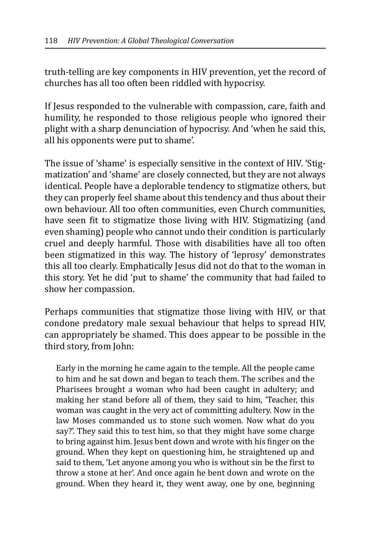truth-telling are key components in HIV prevention, yet the record of churches has all too often been riddled with hypocrisy.

If Jesus responded to the vulnerable with compassion, care, faith and humility, he responded to those religious people who ignored their plight with a sharp denunciation of hypocrisy. And 'when he said this, all his opponents were put to shame'.

The issue of 'shame' is especially sensitive in the context of HIV. 'Stigmatization' and 'shame' are closely connected, but they are not always identical. People have a deplorable tendency to stigmatize others, but they can properly feel shame about this tendency and thus about their own behaviour. All too often communities, even Church communities, have seen fit to stigmatize those living with HIV. Stigmatizing (and even shaming) people who cannot undo their condition is particularly cruel and deeply harmful. Those with disabilities have all too often been stigmatized in this way. The history of 'leprosy' demonstrates this all too clearly. Emphatically Jesus did not do that to the woman in this story. Yet he did 'put to shame' the community that had failed to show her compassion.

Perhaps communities that stigmatize those living with HIV, or that condone predatory male sexual behaviour that helps to spread HIV, can appropriately be shamed. This does appear to be possible in the third story, from John:

Early in the morning he came again to the temple. All the people came to him and he sat down and began to teach them. The scribes and the Pharisees brought a woman who had been caught in adultery; and making her stand before all of them, they said to him, 'Teacher, this woman was caught in the very act of committing adultery. Now in the law Moses commanded us to stone such women. Now what do you say?'. They said this to test him, so that they might have some charge to bring against him. Jesus bent down and wrote with his finger on the ground. When they kept on questioning him, he straightened up and said to them, 'Let anyone among you who is without sin be the first to throw a stone at her'. And once again he bent down and wrote on the ground. When they heard it, they went away, one by one, beginning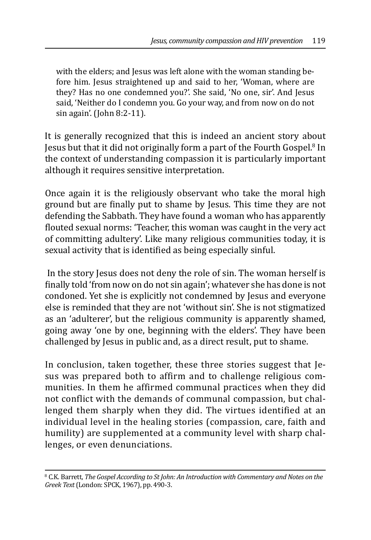with the elders; and Jesus was left alone with the woman standing before him. Jesus straightened up and said to her, 'Woman, where are they? Has no one condemned you?'. She said, 'No one, sir'. And Jesus said, 'Neither do I condemn you. Go your way, and from now on do not sin again'. (John 8:2-11).

It is generally recognized that this is indeed an ancient story about Jesus but that it did not originally form a part of the Fourth Gospel.<sup>8</sup> In the context of understanding compassion it is particularly important although it requires sensitive interpretation.

Once again it is the religiously observant who take the moral high ground but are finally put to shame by Jesus. This time they are not defending the Sabbath. They have found a woman who has apparently flouted sexual norms: 'Teacher, this woman was caught in the very act of committing adultery'. Like many religious communities today, it is sexual activity that is identified as being especially sinful.

 In the story Jesus does not deny the role of sin. The woman herself is finally told 'from now on do not sin again'; whatever she has done is not condoned. Yet she is explicitly not condemned by Jesus and everyone else is reminded that they are not 'without sin'. She is not stigmatized as an 'adulterer', but the religious community is apparently shamed, going away 'one by one, beginning with the elders'. They have been challenged by Jesus in public and, as a direct result, put to shame.

In conclusion, taken together, these three stories suggest that Jesus was prepared both to affirm and to challenge religious communities. In them he affirmed communal practices when they did not conflict with the demands of communal compassion, but challenged them sharply when they did. The virtues identified at an individual level in the healing stories (compassion, care, faith and humility) are supplemented at a community level with sharp challenges, or even denunciations.

<sup>8</sup> C.K. Barrett, *The Gospel According to St John: An Introduction with Commentary and Notes on the Greek Text* (London: SPCK, 1967), pp. 490-3.